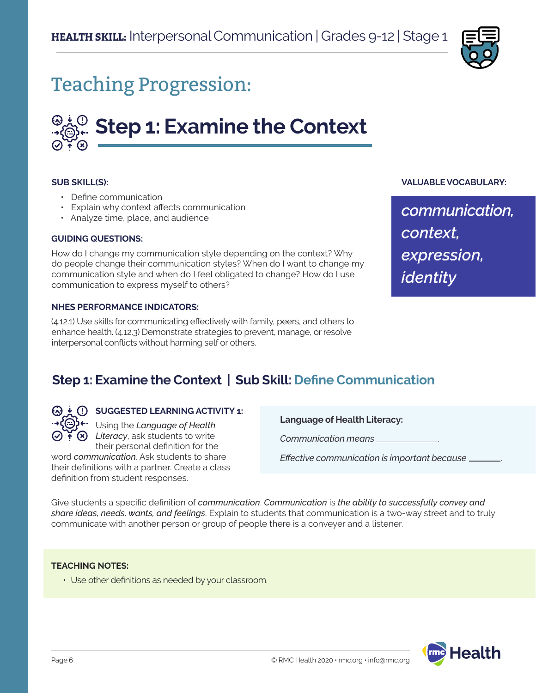

## Teaching Progression:

# **Step 1: Examine the Context**

#### **SUB SKILL(S):**

- Define communication
- Explain why context affects communication
- Analyze time, place, and audience

#### **GUIDING QUESTIONS:**

How do I change my communication style depending on the context? Why do people change their communication styles? When do I want to change my communication style and when do I feel obligated to change? How do I use communication to express myself to others?

#### **NHES PERFORMANCE INDICATORS:**

(4.12.1) Use skills for communicating effectively with family, peers, and others to enhance health. (4.12.3) Demonstrate strategies to prevent, manage, or resolve interpersonal conflicts without harming self or others.

#### **VALUABLE VOCABULARY:**

*communication, context, expression, identity*

## **Step 1: Examine the Context | Sub Skill: Define Communication**



## **SUGGESTED LEARNING ACTIVITY 1:**

Using the *Language of Health*  **(x)** Literacy, ask students to write their personal definition for the

word *communication*. Ask students to share their definitions with a partner. Create a class definition from student responses.

**Language of Health Literacy:**

*Communication means* .

*Effective communication is important because* .

Give students a specific definition of *communication*. *Communication* is *the ability to successfully convey and share ideas, needs, wants, and feelings*. Explain to students that communication is a two-way street and to truly communicate with another person or group of people there is a conveyer and a listener.

#### **TEACHING NOTES:**

• Use other definitions as needed by your classroom.

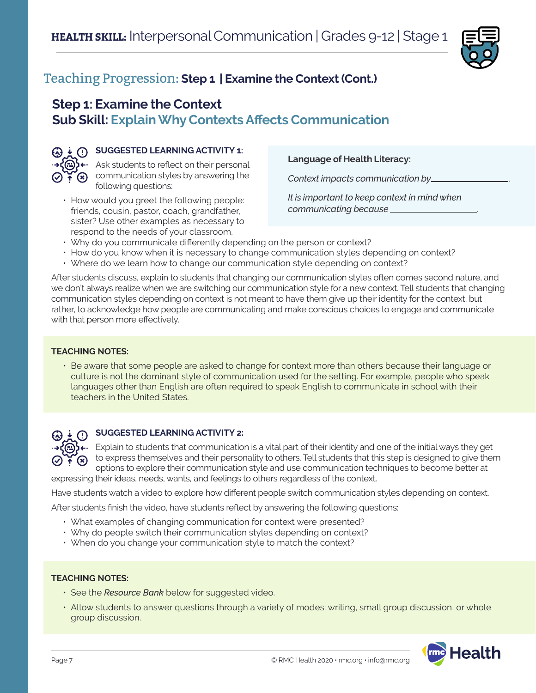

## **Step 1: Examine the Context Sub Skill: Explain Why Contexts Affects Communication**



## **G**) **SUGGESTED LEARNING ACTIVITY 1:**

 $\rightarrow$  $\langle \oplus \rangle$  + Ask students to reflect on their personal  $\bigcirc$   $\widetilde{\cdot}$  communication styles by answering the following questions:

• How would you greet the following people: friends, cousin, pastor, coach, grandfather, sister? Use other examples as necessary to respond to the needs of your classroom.

**Language of Health Literacy:**

*Context impacts communication by* .

*It is important to keep context in mind when communicating because* .

- Why do you communicate differently depending on the person or context?
- How do you know when it is necessary to change communication styles depending on context?
- Where do we learn how to change our communication style depending on context?

After students discuss, explain to students that changing our communication styles often comes second nature, and we don't always realize when we are switching our communication style for a new context. Tell students that changing communication styles depending on context is not meant to have them give up their identity for the context, but rather, to acknowledge how people are communicating and make conscious choices to engage and communicate with that person more effectively.

### **TEACHING NOTES:**

• Be aware that some people are asked to change for context more than others because their language or culture is not the dominant style of communication used for the setting. For example, people who speak languages other than English are often required to speak English to communicate in school with their teachers in the United States.



## **SUGGESTED LEARNING ACTIVITY 2:**

Explain to students that communication is a vital part of their identity and one of the initial ways they get  $\bullet$   $\bullet$  to express themselves and their personality to others. Tell students that this step is designed to give them options to explore their communication style and use communication techniques to become better at

expressing their ideas, needs, wants, and feelings to others regardless of the context.

Have students watch a video to explore how different people switch communication styles depending on context.

After students finish the video, have students reflect by answering the following questions:

- What examples of changing communication for context were presented?
- Why do people switch their communication styles depending on context?
- When do you change your communication style to match the context?

#### **TEACHING NOTES:**

- See the *Resource Bank* below for suggested video.
- Allow students to answer questions through a variety of modes: writing, small group discussion, or whole group discussion.

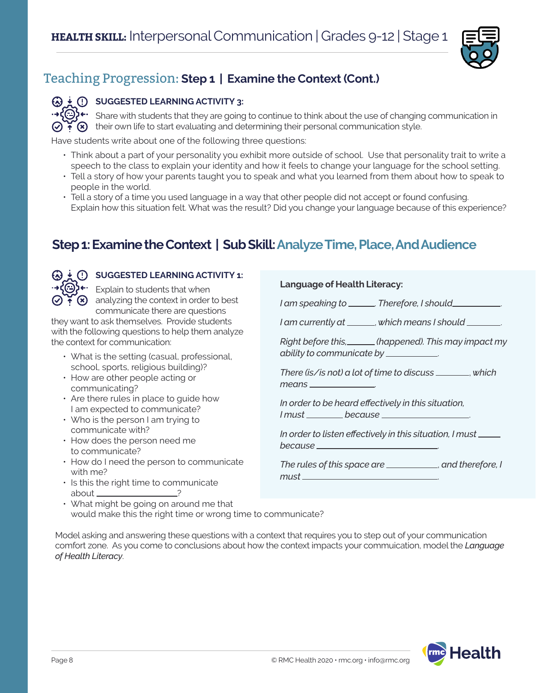

## **SUGGESTED LEARNING ACTIVITY 3:**

 $\odot$  + Share with students that they are going to continue to think about the use of changing communication in  $\widetilde{\cdot}$  ( $\widehat{\cdot}$ ) their own life to start evaluating and determining their personal communication style.

Have students write about one of the following three questions:

- Think about a part of your personality you exhibit more outside of school. Use that personality trait to write a speech to the class to explain your identity and how it feels to change your language for the school setting.
- Tell a story of how your parents taught you to speak and what you learned from them about how to speak to people in the world.
- Tell a story of a time you used language in a way that other people did not accept or found confusing. Explain how this situation felt. What was the result? Did you change your language because of this experience?

## **Step 1: Examine the Context | Sub Skill: Analyze Time, Place, And Audience**



## **SUGGESTED LEARNING ACTIVITY 1:**

 $P^{\leftarrow}$  Explain to students that when  $\odot$   $\ddot{\bullet}$   $\odot$  analyzing the context in order to best communicate there are questions

they want to ask themselves. Provide students with the following questions to help them analyze the context for communication:

- What is the setting (casual, professional, school, sports, religious building)?
- How are other people acting or communicating?
- Are there rules in place to guide how I am expected to communicate?
- Who is the person I am trying to communicate with?
- How does the person need me to communicate?
- How do I need the person to communicate with me?
- Is this the right time to communicate about ?

## • What might be going on around me that would make this the right time or wrong time to communicate?

## **Language of Health Literacy:**

*I* am speaking to \_\_\_\_\_\_. Therefore, I should\_\_\_\_\_\_\_

*I am currently at* , *which means I should* .

*Right before this, (happened). This may impact my ability to communicate by* .

*There (is/is not) a lot of time to discuss* , *which means* .

*In order to be heard effectively in this situation, I must because* .

*In order to listen effectively in this situation, I must because* .

| The rules of this space are. | , and therefore, I |
|------------------------------|--------------------|
| must .                       |                    |

Model asking and answering these questions with a context that requires you to step out of your communication comfort zone. As you come to conclusions about how the context impacts your commuication, model the *Language of Health Literacy*.

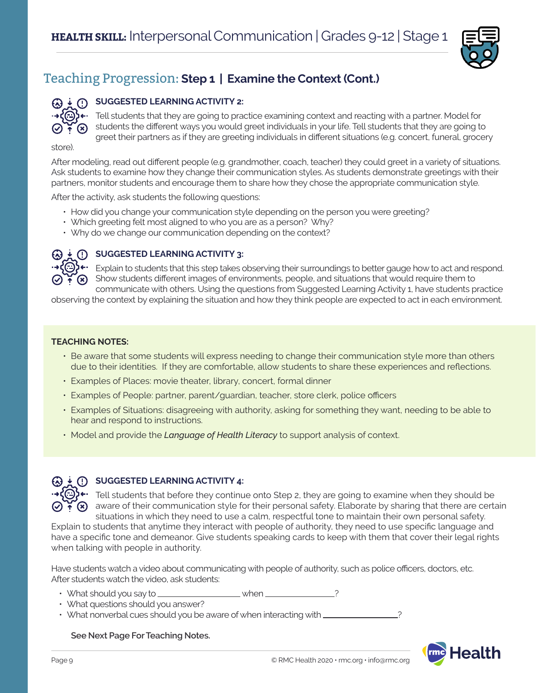

## **SUGGESTED LEARNING ACTIVITY 2:**

 $\cdot$   $\cdot$   $\cdot$   $\cdot$  Tell students that they are going to practice examining context and reacting with a partner. Model for students the different ways you would greet individuals in your life. Tell students that they are going to greet their partners as if they are greeting individuals in different situations (e.g. concert, funeral, grocery

store).

 $\odot$  ?  $\odot$ 

After modeling, read out different people (e.g. grandmother, coach, teacher) they could greet in a variety of situations. Ask students to examine how they change their communication styles. As students demonstrate greetings with their partners, monitor students and encourage them to share how they chose the appropriate communication style.

After the activity, ask students the following questions:

- How did you change your communication style depending on the person you were greeting?
- Which greeting felt most aligned to who you are as a person? Why?
- Why do we change our communication depending on the context?



## **(3)**  $\frac{1}{2}$  **(1) SUGGESTED LEARNING ACTIVITY 3:**

Explain to students that this step takes observing their surroundings to better gauge how to act and respond. Show students different images of environments, people, and situations that would require them to communicate with others. Using the questions from Suggested Learning Activity 1, have students practice

observing the context by explaining the situation and how they think people are expected to act in each environment.

## **TEACHING NOTES:**

- Be aware that some students will express needing to change their communication style more than others due to their identities. If they are comfortable, allow students to share these experiences and reflections.
- Examples of Places: movie theater, library, concert, formal dinner
- Examples of People: partner, parent/guardian, teacher, store clerk, police officers
- Examples of Situations: disagreeing with authority, asking for something they want, needing to be able to hear and respond to instructions.
- Model and provide the *Language of Health Literacy* to support analysis of context.



## **(3)**  $\pm$  **(1) SUGGESTED LEARNING ACTIVITY 4:**

 $\bigoplus$ + Tell students that before they continue onto Step 2, they are going to examine when they should be  $\widetilde{A}(\vec{x})$  aware of their communication style for their personal safety. Elaborate by sharing that there are certain situations in which they need to use a calm, respectful tone to maintain their own personal safety.

Explain to students that anytime they interact with people of authority, they need to use specific language and have a specific tone and demeanor. Give students speaking cards to keep with them that cover their legal rights when talking with people in authority.

Have students watch a video about communicating with people of authority, such as police officers, doctors, etc. After students watch the video, ask students:

- What should you say to  $\frac{1}{1}$  when  $\frac{1}{1}$
- What questions should you answer?
- What nonverbal cues should you be aware of when interacting with  $\frac{1}{2}$

**See Next Page For Teaching Notes.**